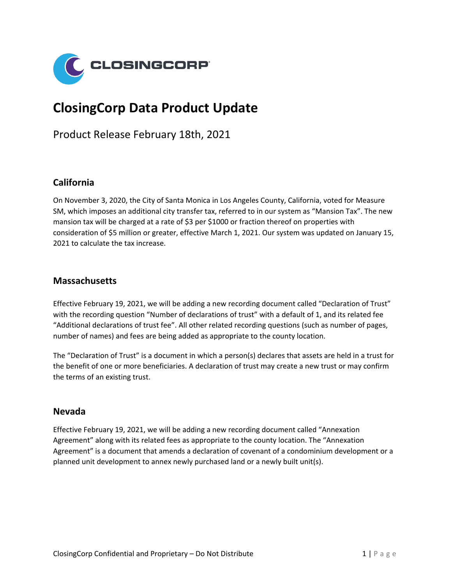

# **ClosingCorp Data Product Update**

Product Release February 18th, 2021

### **California**

On November 3, 2020, the City of Santa Monica in Los Angeles County, California, voted for Measure SM, which imposes an additional city transfer tax, referred to in our system as "Mansion Tax". The new mansion tax will be charged at a rate of \$3 per \$1000 or fraction thereof on properties with consideration of \$5 million or greater, effective March 1, 2021. Our system was updated on January 15, 2021 to calculate the tax increase.

#### **Massachusetts**

Effective February 19, 2021, we will be adding a new recording document called "Declaration of Trust" with the recording question "Number of declarations of trust" with a default of 1, and its related fee "Additional declarations of trust fee". All other related recording questions (such as number of pages, number of names) and fees are being added as appropriate to the county location.

The "Declaration of Trust" is a document in which a person(s) declares that assets are held in a trust for the benefit of one or more beneficiaries. A declaration of trust may create a new trust or may confirm the terms of an existing trust.

#### **Nevada**

Effective February 19, 2021, we will be adding a new recording document called "Annexation Agreement" along with its related fees as appropriate to the county location. The "Annexation Agreement" is a document that amends a declaration of covenant of a condominium development or a planned unit development to annex newly purchased land or a newly built unit(s).